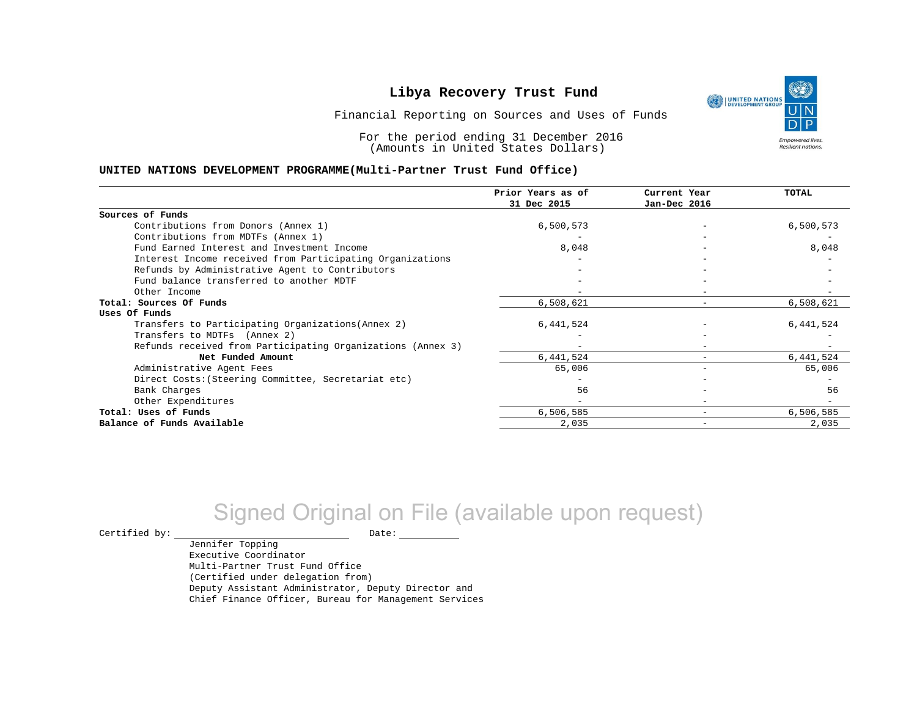UNITED NATIONS **Empowered lives** Resilient nations.

Financial Reporting on Sources and Uses of Funds

For the period ending 31 December 2016 (Amounts in United States Dollars)

#### **UNITED NATIONS DEVELOPMENT PROGRAMME(Multi-Partner Trust Fund Office)**

|                                                             | Prior Years as of<br>31 Dec 2015 | Current Year<br>Jan-Dec 2016 | <b>TOTAL</b> |
|-------------------------------------------------------------|----------------------------------|------------------------------|--------------|
|                                                             |                                  |                              |              |
| Sources of Funds                                            |                                  |                              |              |
| Contributions from Donors (Annex 1)                         | 6,500,573                        |                              | 6,500,573    |
| Contributions from MDTFs (Annex 1)                          |                                  |                              |              |
| Fund Earned Interest and Investment Income                  | 8,048                            |                              | 8,048        |
| Interest Income received from Participating Organizations   |                                  |                              |              |
| Refunds by Administrative Agent to Contributors             |                                  |                              |              |
| Fund balance transferred to another MDTF                    |                                  |                              |              |
| Other Income                                                |                                  |                              |              |
| Total: Sources Of Funds                                     | 6,508,621                        |                              | 6,508,621    |
| Uses Of Funds                                               |                                  |                              |              |
| Transfers to Participating Organizations (Annex 2)          | 6,441,524                        |                              | 6,441,524    |
| Transfers to MDTFs (Annex 2)                                |                                  |                              |              |
| Refunds received from Participating Organizations (Annex 3) | $-$                              | $\overline{\phantom{0}}$     |              |
| Net Funded Amount                                           | 6,441,524                        |                              | 6,441,524    |
| Administrative Agent Fees                                   | 65,006                           |                              | 65,006       |
| Direct Costs: (Steering Committee, Secretariat etc)         |                                  |                              |              |
| Bank Charges                                                | 56                               |                              | 56           |
| Other Expenditures                                          |                                  |                              |              |
| Total: Uses of Funds                                        | 6,506,585                        |                              | 6,506,585    |
| Balance of Funds Available                                  | 2,035                            |                              | 2,035        |

## Signed Original on File (available upon request)

 $\begin{picture}(180,180)(0,0) \put(0,0){\vector(1,0){180}} \put(15,0){\vector(1,0){180}} \put(15,0){\vector(1,0){180}} \put(15,0){\vector(1,0){180}} \put(15,0){\vector(1,0){180}} \put(15,0){\vector(1,0){180}} \put(15,0){\vector(1,0){180}} \put(15,0){\vector(1,0){180}} \put(15,0){\vector(1,0){180}} \put(15,0){\vector(1,0){180}} \put(15,0){\vector(1,0$ 

Jennifer Topping Executive Coordinator Multi-Partner Trust Fund Office (Certified under delegation from) Deputy Assistant Administrator, Deputy Director and Chief Finance Officer, Bureau for Management Services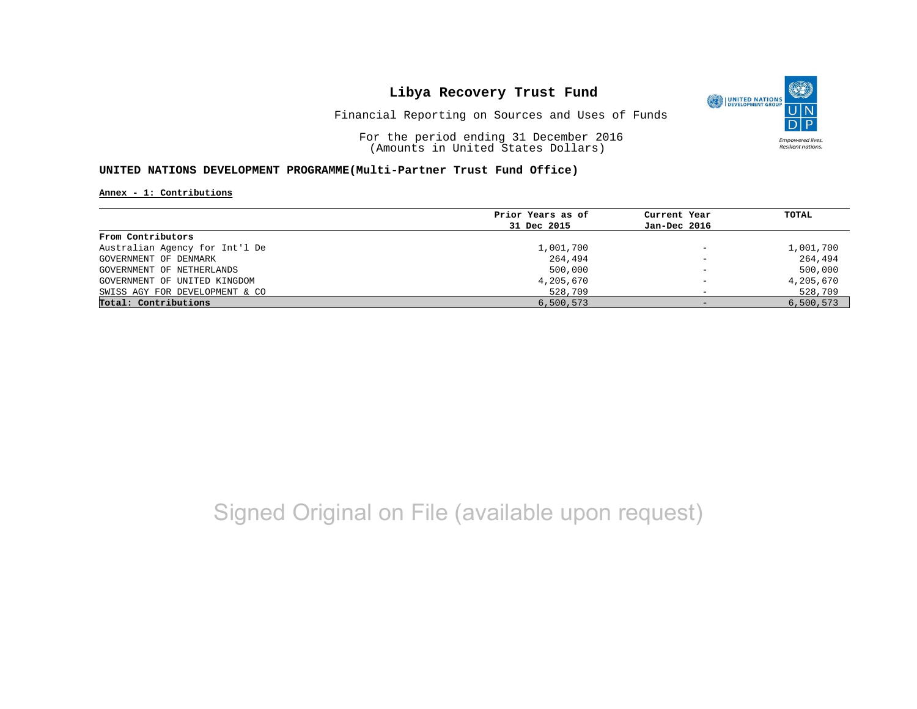

Financial Reporting on Sources and Uses of Funds

For the period ending 31 December 2016 (Amounts in United States Dollars)

#### **UNITED NATIONS DEVELOPMENT PROGRAMME(Multi-Partner Trust Fund Office)**

**Annex - 1: Contributions**

|                                | Prior Years as of | Current Year             | TOTAL     |
|--------------------------------|-------------------|--------------------------|-----------|
|                                | 31 Dec 2015       | Jan-Dec 2016             |           |
| From Contributors              |                   |                          |           |
| Australian Agency for Int'l De | 1,001,700         | $\qquad \qquad -$        | 1,001,700 |
| GOVERNMENT OF DENMARK          | 264,494           | $\qquad \qquad -$        | 264,494   |
| GOVERNMENT OF NETHERLANDS      | 500,000           | $\overline{\phantom{m}}$ | 500,000   |
| GOVERNMENT OF UNITED KINGDOM   | 4,205,670         | $\overline{\phantom{0}}$ | 4,205,670 |
| SWISS AGY FOR DEVELOPMENT & CO | 528,709           |                          | 528,709   |
| Total: Contributions           | 6,500,573         | $-$                      | 6,500,573 |

## Signed Original on File (available upon request)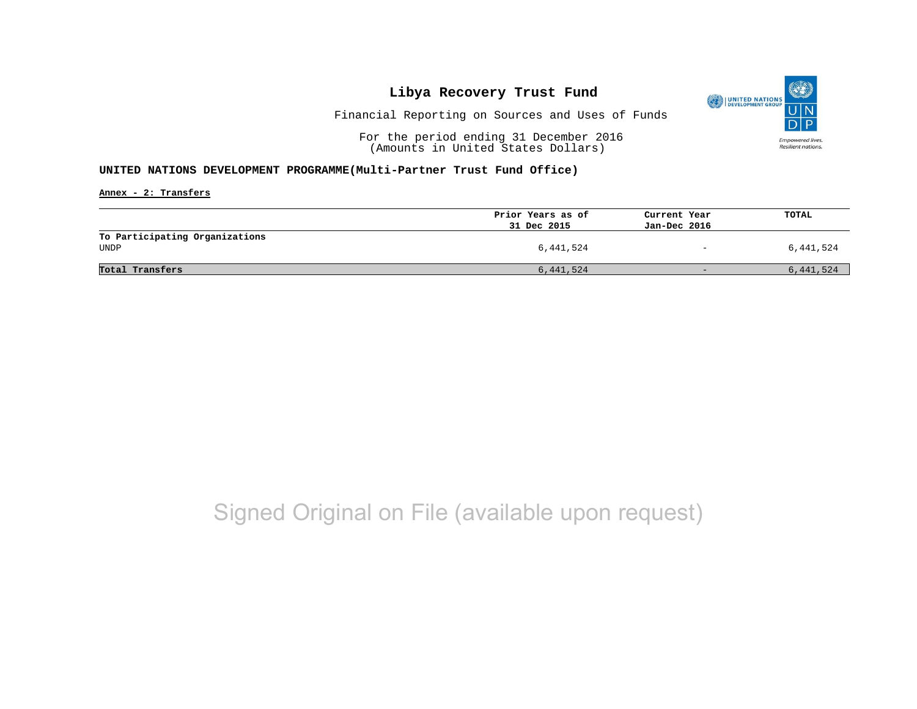

Financial Reporting on Sources and Uses of Funds

For the period ending 31 December 2016 (Amounts in United States Dollars)

#### **UNITED NATIONS DEVELOPMENT PROGRAMME(Multi-Partner Trust Fund Office)**

**Annex - 2: Transfers**

|                                | Prior Years as of | Current Year             | TOTAL     |
|--------------------------------|-------------------|--------------------------|-----------|
|                                | 31 Dec 2015       | Jan-Dec 2016             |           |
| To Participating Organizations |                   |                          |           |
| UNDP                           | 6,441,524         | $\overline{\phantom{0}}$ | 6,441,524 |
|                                |                   |                          |           |
| Total Transfers                | 6,441,524         | $-$                      | 6,441,524 |
|                                |                   |                          |           |

## Signed Original on File (available upon request)